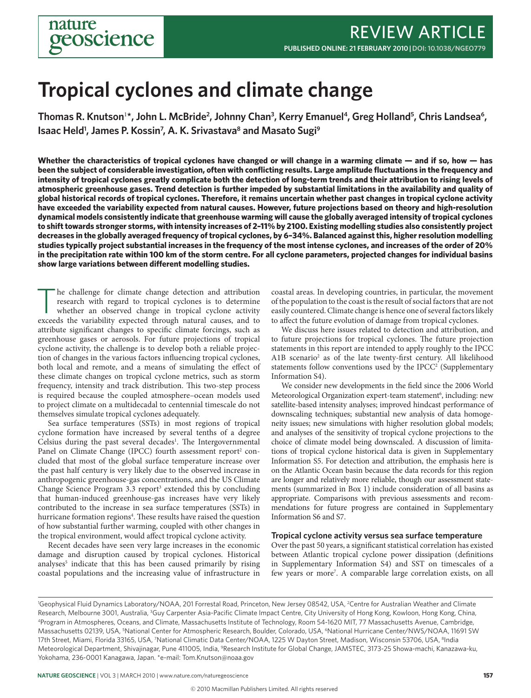# **tropical cyclones and climate change**

Thomas R. Knutson<sup>1\*</sup>, John L. McBride<sup>2</sup>, Johnny Chan<sup>3</sup>, Kerry Emanuel<sup>4</sup>, Greg Holland<sup>5</sup>, Chris Landsea<sup>6</sup>, **Isaac Held<sup>1</sup>, James P. Kossin<sup>7</sup>, A. K. Srivastava<sup>8</sup> and Masato Sugi<sup>9</sup>** 

**Whether the characteristics of tropical cyclones have changed or will change in a warming climate — and if so, how — has been the subject of considerable investigation, often with conflicting results. Large amplitude fluctuations in the frequency and intensity of tropical cyclones greatly complicate both the detection of long-term trends and their attribution to rising levels of atmospheric greenhouse gases. Trend detection is further impeded by substantial limitations in the availability and quality of global historical records of tropical cyclones. Therefore, it remains uncertain whether past changes in tropical cyclone activity have exceeded the variability expected from natural causes. However, future projections based on theory and high-resolution dynamical models consistently indicate that greenhouse warming will cause the globally averaged intensity of tropical cyclones to shift towards stronger storms, with intensity increases of 2–11% by 2100. Existing modelling studies also consistently project decreases in the globally averaged frequency of tropical cyclones, by 6–34%. Balanced against this, higher resolution modelling studies typically project substantial increases in the frequency of the most intense cyclones, and increases of the order of 20% in the precipitation rate within 100 km of the storm centre. For all cyclone parameters, projected changes for individual basins show large variations between different modelling studies.**

The challenge for climate change detection and attribution<br>research with regard to tropical cyclones is to determine<br>whether an observed change in tropical cyclone activity<br>gyzegeds the unriplied when the particular causes research with regard to tropical cyclones is to determine whether an observed change in tropical cyclone activity exceeds the variability expected through natural causes, and to attribute significant changes to specific climate forcings, such as greenhouse gases or aerosols. For future projections of tropical cyclone activity, the challenge is to develop both a reliable projection of changes in the various factors influencing tropical cyclones, both local and remote, and a means of simulating the effect of these climate changes on tropical cyclone metrics, such as storm frequency, intensity and track distribution. This two-step process is required because the coupled atmosphere–ocean models used to project climate on a multidecadal to centennial timescale do not themselves simulate tropical cyclones adequately.

Sea surface temperatures (SSTs) in most regions of tropical cyclone formation have increased by several tenths of a degree Celsius during the past several decades<sup>1</sup>. The Intergovernmental Panel on Climate Change (IPCC) fourth assessment report<sup>2</sup> concluded that most of the global surface temperature increase over the past half century is very likely due to the observed increase in anthropogenic greenhouse-gas concentrations, and the US Climate Change Science Program 3.3 report<sup>3</sup> extended this by concluding that human-induced greenhouse-gas increases have very likely contributed to the increase in sea surface temperatures (SSTs) in hurricane formation regions<sup>4</sup>. These results have raised the question of how substantial further warming, coupled with other changes in the tropical environment, would affect tropical cyclone activity.

Recent decades have seen very large increases in the economic damage and disruption caused by tropical cyclones. Historical analyses<sup>5</sup> indicate that this has been caused primarily by rising coastal populations and the increasing value of infrastructure in

coastal areas. In developing countries, in particular, the movement of the population to the coast is the result of social factors that are not easily countered. Climate change is hence one of several factors likely to affect the future evolution of damage from tropical cyclones.

We discuss here issues related to detection and attribution, and to future projections for tropical cyclones. The future projection statements in this report are intended to apply roughly to the IPCC A1B scenario<sup>2</sup> as of the late twenty-first century. All likelihood statements follow conventions used by the IPCC<sup>2</sup> (Supplementary Information S4).

We consider new developments in the field since the 2006 World Meteorological Organization expert-team statement<sup>6</sup>, including: new satellite-based intensity analyses; improved hindcast performance of downscaling techniques; substantial new analysis of data homogeneity issues; new simulations with higher resolution global models; and analyses of the sensitivity of tropical cyclone projections to the choice of climate model being downscaled. A discussion of limitations of tropical cyclone historical data is given in Supplementary Information S5. For detection and attribution, the emphasis here is on the Atlantic Ocean basin because the data records for this region are longer and relatively more reliable, though our assessment statements (summarized in Box 1) include consideration of all basins as appropriate. Comparisons with previous assessments and recommendations for future progress are contained in Supplementary Information S6 and S7.

## **tropical cyclone activity versus sea surface temperature**

Over the past 50 years, a significant statistical correlation has existed between Atlantic tropical cyclone power dissipation (definitions in Supplementary Information S4) and SST on timescales of a few years or more<sup>7</sup>. A comparable large correlation exists, on all

<sup>1</sup> Geophysical Fluid Dynamics Laboratory/NOAA, 201 Forrestal Road, Princeton, New Jersey 08542, USA, 2 Centre for Australian Weather and Climate Research, Melbourne 3001, Australia, <sup>3</sup>Guy Carpenter Asia-Pacific Climate Impact Centre, City University of Hong Kong, Kowloon, Hong Kong, China, <sup>4</sup>Program in Atmospheres, Oceans, and Climate, Massachusetts Institute of Technology, Room 54-1620 MIT, 77 Massachusetts Avenue, Cambridge, Massachusetts 02139, USA, <sup>5</sup>National Center for Atmospheric Research, Boulder, Colorado, USA, <sup>6</sup>National Hurricane Center/NWS/NOAA, 11691 SW 17th Street, Miami, Florida 33165, USA, <sup>7</sup>National Climatic Data Center/NOAA, 1225 W Dayton Street, Madison, Wisconsin 53706, USA, <sup>8</sup>India Meteorological Department, Shivajinagar, Pune 411005, India, 9Research Institute for Global Change, JAMSTEC, 3173-25 Showa-machi, Kanazawa-ku, Yokohama, 236-0001 Kanagawa, Japan. \*e-mail: Tom.Knutson@noaa.gov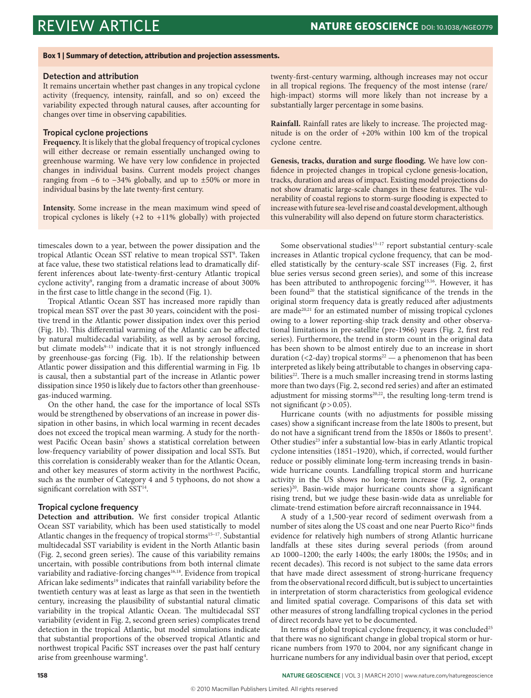### **Box 1 | summary of detection, attribution and projection assessments.**

### **detection and attribution**

It remains uncertain whether past changes in any tropical cyclone activity (frequency, intensity, rainfall, and so on) exceed the variability expected through natural causes, after accounting for changes over time in observing capabilities.

### **tropical cyclone projections**

**Frequency.** It is likely that the global frequency of tropical cyclones will either decrease or remain essentially unchanged owing to greenhouse warming. We have very low confidence in projected changes in individual basins. Current models project changes ranging from −6 to −34% globally, and up to ±50% or more in individual basins by the late twenty-first century.

**Intensity.** Some increase in the mean maximum wind speed of tropical cyclones is likely  $(+2 \text{ to } +11\% \text{ globally})$  with projected

timescales down to a year, between the power dissipation and the tropical Atlantic Ocean SST relative to mean tropical SST8 . Taken at face value, these two statistical relations lead to dramatically different inferences about late-twenty-first-century Atlantic tropical cyclone activity<sup>9</sup>, ranging from a dramatic increase of about 300% in the first case to little change in the second (Fig. 1).

Tropical Atlantic Ocean SST has increased more rapidly than tropical mean SST over the past 30 years, coincident with the positive trend in the Atlantic power dissipation index over this period (Fig. 1b). This differential warming of the Atlantic can be affected by natural multidecadal variability, as well as by aerosol forcing, but climate models $9-13$  indicate that it is not strongly influenced by greenhouse-gas forcing (Fig. 1b). If the relationship between Atlantic power dissipation and this differential warming in Fig. 1b is causal, then a substantial part of the increase in Atlantic power dissipation since 1950 is likely due to factors other than greenhousegas-induced warming.

On the other hand, the case for the importance of local SSTs would be strengthened by observations of an increase in power dissipation in other basins, in which local warming in recent decades does not exceed the tropical mean warming. A study for the northwest Pacific Ocean basin<sup>7</sup> shows a statistical correlation between low-frequency variability of power dissipation and local SSTs. But this correlation is considerably weaker than for the Atlantic Ocean, and other key measures of storm activity in the northwest Pacific, such as the number of Category 4 and 5 typhoons, do not show a significant correlation with SST<sup>14</sup>.

### **tropical cyclone frequency**

**Detection and attribution.** We first consider tropical Atlantic Ocean SST variability, which has been used statistically to model Atlantic changes in the frequency of tropical storms<sup>15-17</sup>. Substantial multidecadal SST variability is evident in the North Atlantic basin (Fig. 2, second green series). The cause of this variability remains uncertain, with possible contributions from both internal climate variability and radiative-forcing changes<sup>16,18</sup>. Evidence from tropical African lake sediments<sup>19</sup> indicates that rainfall variability before the twentieth century was at least as large as that seen in the twentieth century, increasing the plausibility of substantial natural climatic variability in the tropical Atlantic Ocean. The multidecadal SST variability (evident in Fig. 2, second green series) complicates trend detection in the tropical Atlantic, but model simulations indicate that substantial proportions of the observed tropical Atlantic and northwest tropical Pacific SST increases over the past half century arise from greenhouse warming<sup>4</sup>.

twenty-first-century warming, although increases may not occur in all tropical regions. The frequency of the most intense (rare/ high-impact) storms will more likely than not increase by a substantially larger percentage in some basins.

**Rainfall.** Rainfall rates are likely to increase. The projected magnitude is on the order of +20% within 100 km of the tropical cyclone centre.

**Genesis, tracks, duration and surge flooding.** We have low confidence in projected changes in tropical cyclone genesis-location, tracks, duration and areas of impact. Existing model projections do not show dramatic large-scale changes in these features. The vulnerability of coastal regions to storm-surge flooding is expected to increase with future sea-level rise and coastal development, although this vulnerability will also depend on future storm characteristics.

Some observational studies<sup>15-17</sup> report substantial century-scale increases in Atlantic tropical cyclone frequency, that can be modelled statistically by the century-scale SST increases (Fig. 2, first blue series versus second green series), and some of this increase has been attributed to anthropogenic forcing<sup>15,16</sup>. However, it has been found<sup>20</sup> that the statistical significance of the trends in the original storm frequency data is greatly reduced after adjustments are made<sup>20,21</sup> for an estimated number of missing tropical cyclones owing to a lower reporting-ship track density and other observational limitations in pre-satellite (pre-1966) years (Fig. 2, first red series). Furthermore, the trend in storm count in the original data has been shown to be almost entirely due to an increase in short duration (<2-day) tropical storms<sup>22</sup> — a phenomenon that has been interpreted as likely being attributable to changes in observing capabilities<sup>22</sup>. There is a much smaller increasing trend in storms lasting more than two days (Fig. 2, second red series) and after an estimated adjustment for missing storms<sup>20,22</sup>, the resulting long-term trend is not significant  $(p>0.05)$ .

Hurricane counts (with no adjustments for possible missing cases) show a significant increase from the late 1800s to present, but do not have a significant trend from the 1850s or 1860s to present<sup>3</sup>. Other studies<sup>23</sup> infer a substantial low-bias in early Atlantic tropical cyclone intensities (1851–1920), which, if corrected, would further reduce or possibly eliminate long-term increasing trends in basinwide hurricane counts. Landfalling tropical storm and hurricane activity in the US shows no long-term increase (Fig. 2, orange series)<sup>20</sup>. Basin-wide major hurricane counts show a significant rising trend, but we judge these basin-wide data as unreliable for climate-trend estimation before aircraft reconnaissance in 1944.

A study of a 1,500-year record of sediment overwash from a number of sites along the US coast and one near Puerto Rico<sup>24</sup> finds evidence for relatively high numbers of strong Atlantic hurricane landfalls at these sites during several periods (from around ad 1000-1200; the early 1400s; the early 1800s; the 1950s; and in recent decades). This record is not subject to the same data errors that have made direct assessment of strong-hurricane frequency from the observational record difficult, but is subject to uncertainties in interpretation of storm characteristics from geological evidence and limited spatial coverage. Comparisons of this data set with other measures of strong landfalling tropical cyclones in the period of direct records have yet to be documented.

In terms of global tropical cyclone frequency, it was concluded<sup>25</sup> that there was no significant change in global tropical storm or hurricane numbers from 1970 to 2004, nor any significant change in hurricane numbers for any individual basin over that period, except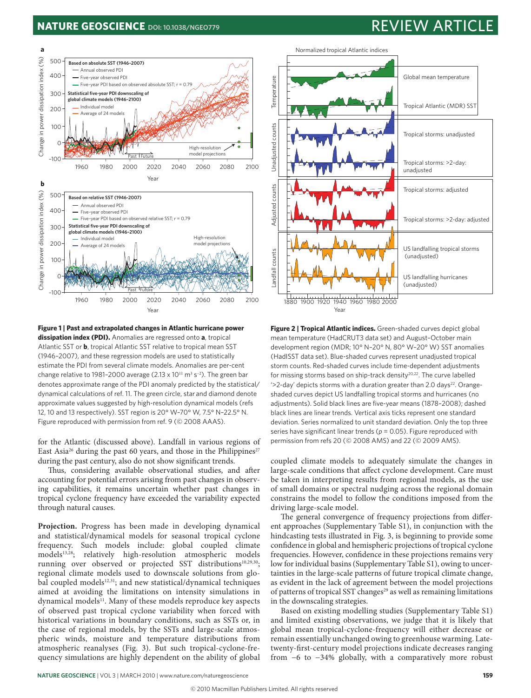

**Figure 1 | Past and extrapolated changes in atlantic hurricane power dissipation index (PDi).** Anomalies are regressed onto **a**, tropical Atlantic SST or **b**, tropical Atlantic SST relative to tropical mean SST (1946–2007), and these regression models are used to statistically estimate the PDI from several climate models. Anomalies are per-cent change relative to 1981-2000 average (2.13 x 10 $^{\rm 11}$  m $^{\rm 3}$  s<sup>-2</sup>). The green bar denotes approximate range of the PDI anomaly predicted by the statistical/ dynamical calculations of ref. 11. The green circle, star and diamond denote approximate values suggested by high-resolution dynamical models (refs 12, 10 and 13 respectively). SST region is 20° W–70° W, 7.5° N–22.5° N. Figure reproduced with permission from ref. 9 (© 2008 AAAS).

for the Atlantic (discussed above). Landfall in various regions of East Asia<sup>26</sup> during the past 60 years, and those in the Philippines<sup>27</sup> during the past century, also do not show significant trends.

Thus, considering available observational studies, and after accounting for potential errors arising from past changes in observing capabilities, it remains uncertain whether past changes in tropical cyclone frequency have exceeded the variability expected through natural causes.

**Projection.** Progress has been made in developing dynamical and statistical/dynamical models for seasonal tropical cyclone frequency. Such models include: global coupled climate models13,28; relatively high-resolution atmospheric models running over observed or projected SST distributions<sup>10,29,30</sup>; regional climate models used to downscale solutions from global coupled models<sup>12,31</sup>; and new statistical/dynamical techniques aimed at avoiding the limitations on intensity simulations in dynamical models<sup>11</sup>. Many of these models reproduce key aspects of observed past tropical cyclone variability when forced with historical variations in boundary conditions, such as SSTs or, in the case of regional models, by the SSTs and large-scale atmospheric winds, moisture and temperature distributions from atmospheric reanalyses (Fig. 3). But such tropical-cyclone-frequency simulations are highly dependent on the ability of global



Normalized tropical Atlantic indices

**Figure 2 | Tropical Atlantic indices.** Green-shaded curves depict global mean temperature (HadCRUT3 data set) and August–October main development region (MDR; 10° N–20° N, 80° W–20° W) SST anomalies (HadISST data set). Blue-shaded curves represent unadjusted tropical storm counts. Red-shaded curves include time-dependent adjustments for missing storms based on ship-track density<sup>20,22</sup>. The curve labelled '>2-day' depicts storms with a duration greater than 2.0 days<sup>22</sup>. Orangeshaded curves depict US landfalling tropical storms and hurricanes (no adjustments). Solid black lines are five-year means (1878–2008); dashed black lines are linear trends. Vertical axis ticks represent one standard deviation. Series normalized to unit standard deviation. Only the top three series have significant linear trends (*p* = 0.05). Figure reproduced with permission from refs 20 (© 2008 AMS) and 22 (© 2009 AMS).

coupled climate models to adequately simulate the changes in large-scale conditions that affect cyclone development. Care must be taken in interpreting results from regional models, as the use of small domains or spectral nudging across the regional domain constrains the model to follow the conditions imposed from the driving large-scale model.

The general convergence of frequency projections from different approaches (Supplementary Table S1), in conjunction with the hindcasting tests illustrated in Fig. 3, is beginning to provide some confidence in global and hemispheric projections of tropical cyclone frequencies. However, confidence in these projections remains very low for individual basins (Supplementary Table S1), owing to uncertainties in the large-scale patterns of future tropical climate change, as evident in the lack of agreement between the model projections of patterns of tropical SST changes<sup>29</sup> as well as remaining limitations in the downscaling strategies.

Based on existing modelling studies (Supplementary Table S1) and limited existing observations, we judge that it is likely that global mean tropical-cyclone-frequency will either decrease or remain essentially unchanged owing to greenhouse warming. Latetwenty-first-century model projections indicate decreases ranging from −6 to −34% globally, with a comparatively more robust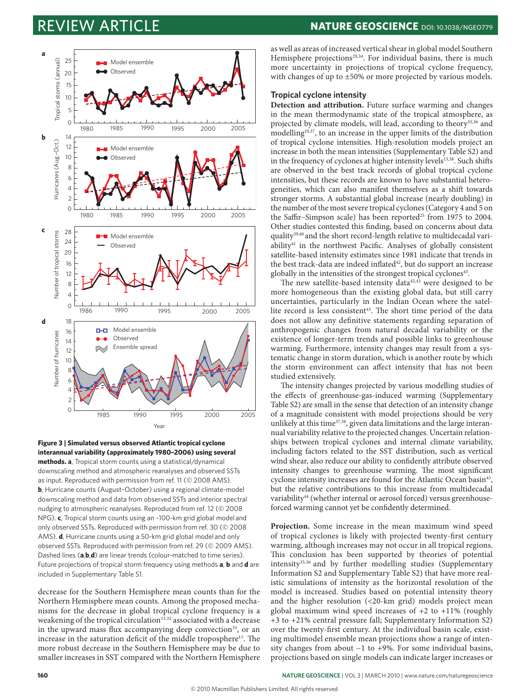

**Figure 3 | simulated versus observed atlantic tropical cyclone interannual variability (approximately 1980–2006) using several methods. a**, Tropical storm counts using a statistical/dynamical downscaling method and atmospheric reanalyses and observed SSTs as input. Reproduced with permission from ref. 11 (© 2008 AMS). **b**, Hurricane counts (August-October) using a regional climate-model downscaling method and data from observed SSTs and interior spectral nudging to atmospheric reanalyses. Reproduced from ref. 12 (© 2008 NPG). **c**, Tropical storm counts using an ~100-km grid global model and only observed SSTs. Reproduced with permission from ref. 30 (© 2008 AMS). **d**, Hurricane counts using a 50-km grid global model and only observed SSTs. Reproduced with permission from ref. 29 (© 2009 AMS). Dashed lines (**a**,**b**,**d**) are linear trends (colour-matched to time series). Future projections of tropical storm frequency using methods **a**, **b** and **d** are included in Supplementary Table S1.

decrease for the Southern Hemisphere mean counts than for the Northern Hemisphere mean counts. Among the proposed mechanisms for the decrease in global tropical cyclone frequency is a weakening of the tropical circulation<sup>13,32</sup> associated with a decrease in the upward mass flux accompanying deep convection<sup>33</sup>, or an increase in the saturation deficit of the middle troposphere<sup>11</sup>. The more robust decrease in the Southern Hemisphere may be due to smaller increases in SST compared with the Northern Hemisphere

as well as areas of increased vertical shear in global model Southern Hemisphere projections<sup>29,34</sup>. For individual basins, there is much more uncertainty in projections of tropical cyclone frequency, with changes of up to ±50% or more projected by various models.

### **tropical cyclone intensity**

**Detection and attribution.** Future surface warming and changes in the mean thermodynamic state of the tropical atmosphere, as projected by climate models, will lead, according to theory<sup>35,36</sup> and modelling10,37, to an increase in the upper limits of the distribution of tropical cyclone intensities. High-resolution models project an increase in both the mean intensities (Supplementary Table S2) and in the frequency of cyclones at higher intensity levels<sup>13,38</sup>. Such shifts are observed in the best track records of global tropical cyclone intensities, but these records are known to have substantial heterogeneities, which can also manifest themselves as a shift towards stronger storms. A substantial global increase (nearly doubling) in the number of the most severe tropical cyclones (Category 4 and 5 on the Saffir-Simpson scale) has been reported<sup>25</sup> from 1975 to 2004. Other studies contested this finding, based on concerns about data quality<sup>39,40</sup> and the short record-length relative to multidecadal variability41 in the northwest Pacific. Analyses of globally consistent satellite-based intensity estimates since 1981 indicate that trends in the best track-data are indeed inflated<sup>42</sup>, but do support an increase globally in the intensities of the strongest tropical cyclones<sup>43</sup>.

The new satellite-based intensity data  $42,43$  were designed to be more homogeneous than the existing global data, but still carry uncertainties, particularly in the Indian Ocean where the satellite record is less consistent<sup>43</sup>. The short time period of the data does not allow any definitive statements regarding separation of anthropogenic changes from natural decadal variability or the existence of longer-term trends and possible links to greenhouse warming. Furthermore, intensity changes may result from a systematic change in storm duration, which is another route by which the storm environment can affect intensity that has not been studied extensively.

The intensity changes projected by various modelling studies of the effects of greenhouse-gas-induced warming (Supplementary Table S2) are small in the sense that detection of an intensity change of a magnitude consistent with model projections should be very unlikely at this time<sup>37,38</sup>, given data limitations and the large interannual variability relative to the projected changes. Uncertain relationships between tropical cyclones and internal climate variability, including factors related to the SST distribution, such as vertical wind shear, also reduce our ability to confidently attribute observed intensity changes to greenhouse warming. The most significant cyclone intensity increases are found for the Atlantic Ocean basin<sup>43</sup>, but the relative contributions to this increase from multidecadal variability<sup>44</sup> (whether internal or aerosol forced) versus greenhouseforced warming cannot yet be confidently determined.

**Projection.** Some increase in the mean maximum wind speed of tropical cyclones is likely with projected twenty-first century warming, although increases may not occur in all tropical regions. This conclusion has been supported by theories of potential intensity<sup>35,36</sup> and by further modelling studies (Supplementary Information S2 and Supplementary Table S2) that have more realistic simulations of intensity as the horizontal resolution of the model is increased. Studies based on potential intensity theory and the higher resolution (<20-km grid) models project mean global maximum wind speed increases of +2 to +11% (roughly +3 to +21% central pressure fall; Supplementary Information S2) over the twenty-first century. At the individual basin scale, existing multimodel ensemble mean projections show a range of intensity changes from about −1 to +9%. For some individual basins, projections based on single models can indicate larger increases or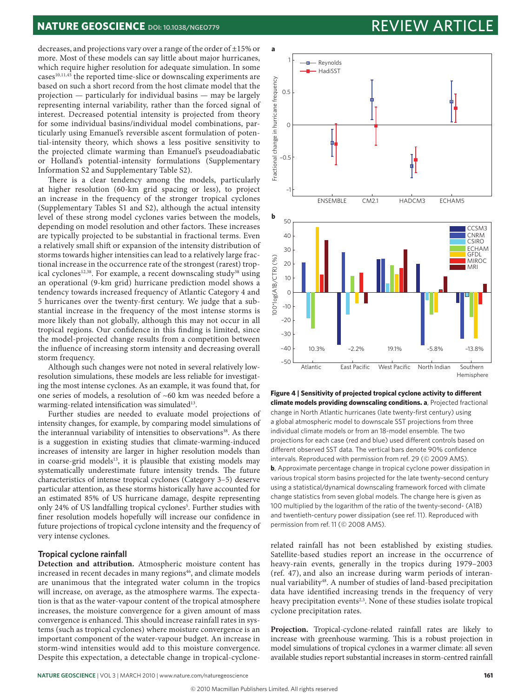decreases, and projections vary over a range of the order of ±15% or more. Most of these models can say little about major hurricanes, which require higher resolution for adequate simulation. In some cases10,11,45 the reported time-slice or downscaling experiments are based on such a short record from the host climate model that the projection — particularly for individual basins — may be largely representing internal variability, rather than the forced signal of interest. Decreased potential intensity is projected from theory for some individual basins/individual model combinations, particularly using Emanuel's reversible ascent formulation of potential-intensity theory, which shows a less positive sensitivity to the projected climate warming than Emanuel's pseudoadiabatic or Holland's potential-intensity formulations (Supplementary Information S2 and Supplementary Table S2).

There is a clear tendency among the models, particularly at higher resolution (60-km grid spacing or less), to project an increase in the frequency of the stronger tropical cyclones (Supplementary Tables S1 and S2), although the actual intensity level of these strong model cyclones varies between the models, depending on model resolution and other factors. These increases are typically projected to be substantial in fractional terms. Even a relatively small shift or expansion of the intensity distribution of storms towards higher intensities can lead to a relatively large fractional increase in the occurrence rate of the strongest (rarest) tropical cyclones<sup>12,38</sup>. For example, a recent downscaling study<sup>38</sup> using an operational (9-km grid) hurricane prediction model shows a tendency towards increased frequency of Atlantic Category 4 and 5 hurricanes over the twenty-first century. We judge that a substantial increase in the frequency of the most intense storms is more likely than not globally, although this may not occur in all tropical regions. Our confidence in this finding is limited, since the model-projected change results from a competition between the influence of increasing storm intensity and decreasing overall storm frequency.

Although such changes were not noted in several relatively lowresolution simulations, these models are less reliable for investigating the most intense cyclones. As an example, it was found that, for one series of models, a resolution of ~60 km was needed before a warming-related intensification was simulated<sup>13</sup>.

Further studies are needed to evaluate model projections of intensity changes, for example, by comparing model simulations of the interannual variability of intensities to observations<sup>38</sup>. As there is a suggestion in existing studies that climate-warming-induced increases of intensity are larger in higher resolution models than in coarse-grid models<sup>13</sup>, it is plausible that existing models may systematically underestimate future intensity trends. The future characteristics of intense tropical cyclones (Category 3–5) deserve particular attention, as these storms historically have accounted for an estimated 85% of US hurricane damage, despite representing only 24% of US landfalling tropical cyclones<sup>5</sup>. Further studies with finer resolution models hopefully will increase our confidence in future projections of tropical cyclone intensity and the frequency of very intense cyclones.

## **tropical cyclone rainfall**

**Detection and attribution.** Atmospheric moisture content has increased in recent decades in many regions<sup>46</sup>, and climate models are unanimous that the integrated water column in the tropics will increase, on average, as the atmosphere warms. The expectation is that as the water-vapour content of the tropical atmosphere increases, the moisture convergence for a given amount of mass convergence is enhanced. This should increase rainfall rates in systems (such as tropical cyclones) where moisture convergence is an important component of the water-vapour budget. An increase in storm-wind intensities would add to this moisture convergence. Despite this expectation, a detectable change in tropical-cyclone-



**Figure 4 | sensitivity of projected tropical cyclone activity to different climate models providing downscaling conditions. a**, Projected fractional change in North Atlantic hurricanes (late twenty-first century) using a global atmospheric model to downscale SST projections from three individual climate models or from an 18-model ensemble. The two projections for each case (red and blue) used different controls based on different observed SST data. The vertical bars denote 90% confidence intervals. Reproduced with permission from ref. 29 (© 2009 AMS). **b**, Approximate percentage change in tropical cyclone power dissipation in various tropical storm basins projected for the late twenty-second century using a statistical/dynamical downscaling framework forced with climate change statistics from seven global models. The change here is given as 100 multiplied by the logarithm of the ratio of the twenty-second- (A1B) and twentieth-century power dissipation (see ref. 11). Reproduced with permission from ref. 11 (© 2008 AMS).

related rainfall has not been established by existing studies. Satellite-based studies report an increase in the occurrence of heavy-rain events, generally in the tropics during 1979–2003 (ref. 47), and also an increase during warm periods of interannual variability48. A number of studies of land-based precipitation data have identified increasing trends in the frequency of very heavy precipitation events<sup>2,3</sup>. None of these studies isolate tropical cyclone precipitation rates.

**Projection.** Tropical-cyclone-related rainfall rates are likely to increase with greenhouse warming. This is a robust projection in model simulations of tropical cyclones in a warmer climate: all seven available studies report substantial increases in storm-centred rainfall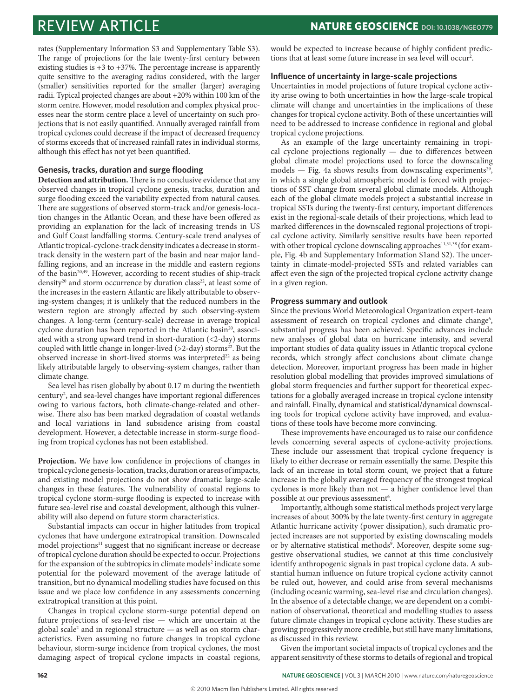## review article **NaTurE gEosciENcE doi: [10.1038/ngeo779](http://www.nature.com/doifinder/10.1038/ngeo779)**

rates (Supplementary Information S3 and Supplementary Table S3). The range of projections for the late twenty-first century between existing studies is  $+3$  to  $+37\%$ . The percentage increase is apparently quite sensitive to the averaging radius considered, with the larger (smaller) sensitivities reported for the smaller (larger) averaging radii. Typical projected changes are about +20% within 100 km of the storm centre. However, model resolution and complex physical processes near the storm centre place a level of uncertainty on such projections that is not easily quantified. Annually averaged rainfall from tropical cyclones could decrease if the impact of decreased frequency of storms exceeds that of increased rainfall rates in individual storms, although this effect has not yet been quantified.

## **genesis, tracks, duration and surge flooding**

**Detection and attribution.** There is no conclusive evidence that any observed changes in tropical cyclone genesis, tracks, duration and surge flooding exceed the variability expected from natural causes. There are suggestions of observed storm-track and/or genesis-location changes in the Atlantic Ocean, and these have been offered as providing an explanation for the lack of increasing trends in US and Gulf Coast landfalling storms. Century-scale trend analyses of Atlantic tropical-cyclone-track density indicates a decrease in stormtrack density in the western part of the basin and near major landfalling regions, and an increase in the middle and eastern regions of the basin20,49. However, according to recent studies of ship-track density<sup>20</sup> and storm occurrence by duration class<sup>22</sup>, at least some of the increases in the eastern Atlantic are likely attributable to observing-system changes; it is unlikely that the reduced numbers in the western region are strongly affected by such observing-system changes. A long-term (century-scale) decrease in average tropical cyclone duration has been reported in the Atlantic basin<sup>20</sup>, associated with a strong upward trend in short-duration (<2-day) storms coupled with little change in longer-lived ( $>2$ -day) storms<sup>22</sup>. But the observed increase in short-lived storms was interpreted<sup>22</sup> as being likely attributable largely to observing-system changes, rather than climate change.

Sea level has risen globally by about 0.17 m during the twentieth century<sup>2</sup>, and sea-level changes have important regional differences owing to various factors, both climate-change-related and otherwise. There also has been marked degradation of coastal wetlands and local variations in land subsidence arising from coastal development. However, a detectable increase in storm-surge flooding from tropical cyclones has not been established.

**Projection.** We have low confidence in projections of changes in tropical cyclone genesis-location, tracks, duration or areas of impacts, and existing model projections do not show dramatic large-scale changes in these features. The vulnerability of coastal regions to tropical cyclone storm-surge flooding is expected to increase with future sea-level rise and coastal development, although this vulnerability will also depend on future storm characteristics.

Substantial impacts can occur in higher latitudes from tropical cyclones that have undergone extratropical transition. Downscaled model projections<sup>11</sup> suggest that no significant increase or decrease of tropical cyclone duration should be expected to occur. Projections for the expansion of the subtropics in climate models<sup>2</sup> indicate some potential for the poleward movement of the average latitude of transition, but no dynamical modelling studies have focused on this issue and we place low confidence in any assessments concerning extratropical transition at this point.

Changes in tropical cyclone storm-surge potential depend on future projections of sea-level rise — which are uncertain at the global scale $^2$  and in regional structure — as well as on storm characteristics. Even assuming no future changes in tropical cyclone behaviour, storm-surge incidence from tropical cyclones, the most damaging aspect of tropical cyclone impacts in coastal regions,

would be expected to increase because of highly confident predictions that at least some future increase in sea level will occur<sup>2</sup>.

## **influence of uncertainty in large-scale projections**

Uncertainties in model projections of future tropical cyclone activity arise owing to both uncertainties in how the large-scale tropical climate will change and uncertainties in the implications of these changes for tropical cyclone activity. Both of these uncertainties will need to be addressed to increase confidence in regional and global tropical cyclone projections.

As an example of the large uncertainty remaining in tropical cyclone projections regionally — due to differences between global climate model projections used to force the downscaling models — Fig. 4a shows results from downscaling experiments<sup>29</sup>, in which a single global atmospheric model is forced with projections of SST change from several global climate models. Although each of the global climate models project a substantial increase in tropical SSTs during the twenty-first century, important differences exist in the regional-scale details of their projections, which lead to marked differences in the downscaled regional projections of tropical cyclone activity. Similarly sensitive results have been reported with other tropical cyclone downscaling approaches<sup>11,31,38</sup> (for example, Fig. 4b and Supplementary Information S1and S2). The uncertainty in climate-model-projected SSTs and related variables can affect even the sign of the projected tropical cyclone activity change in a given region.

### **Progress summary and outlook**

Since the previous World Meteorological Organization expert-team assessment of research on tropical cyclones and climate change<sup>6</sup>, substantial progress has been achieved. Specific advances include new analyses of global data on hurricane intensity, and several important studies of data quality issues in Atlantic tropical cyclone records, which strongly affect conclusions about climate change detection. Moreover, important progress has been made in higher resolution global modelling that provides improved simulations of global storm frequencies and further support for theoretical expectations for a globally averaged increase in tropical cyclone intensity and rainfall. Finally, dynamical and statistical/dynamical downscaling tools for tropical cyclone activity have improved, and evaluations of these tools have become more convincing.

These improvements have encouraged us to raise our confidence levels concerning several aspects of cyclone-activity projections. These include our assessment that tropical cyclone frequency is likely to either decrease or remain essentially the same. Despite this lack of an increase in total storm count, we project that a future increase in the globally averaged frequency of the strongest tropical cyclones is more likely than not — a higher confidence level than possible at our previous assessment<sup>6</sup>.

Importantly, although some statistical methods project very large increases of about 300% by the late twenty-first century in aggregate Atlantic hurricane activity (power dissipation), such dramatic projected increases are not supported by existing downscaling models or by alternative statistical methods<sup>9</sup>. Moreover, despite some suggestive observational studies, we cannot at this time conclusively identify anthropogenic signals in past tropical cyclone data. A substantial human influence on future tropical cyclone activity cannot be ruled out, however, and could arise from several mechanisms (including oceanic warming, sea-level rise and circulation changes). In the absence of a detectable change, we are dependent on a combination of observational, theoretical and modelling studies to assess future climate changes in tropical cyclone activity. These studies are growing progressively more credible, but still have many limitations, as discussed in this review.

Given the important societal impacts of tropical cyclones and the apparent sensitivity of these storms to details of regional and tropical